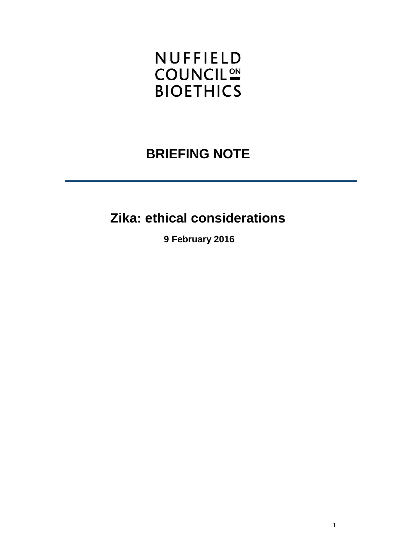# **NUFFIELD COUNCIL<sup>ON</sup> BIOETHICS**

# **BRIEFING NOTE**

# **Zika: ethical considerations**

**9 February 2016**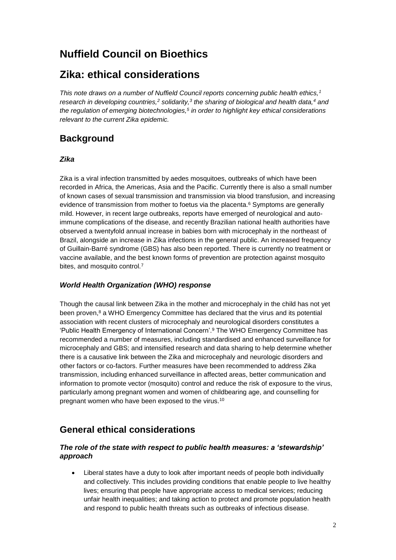# **Nuffield Council on Bioethics**

## **Zika: ethical considerations**

*This note draws on a number of Nuffield Council reports concerning public health ethics,<sup>1</sup> research in developing countries,<sup>2</sup> solidarity,<sup>3</sup> the sharing of biological and health data,<sup>4</sup> and the regulation of emerging biotechnologies,<sup>5</sup> in order to highlight key ethical considerations relevant to the current Zika epidemic.*

### **Background**

### *Zika*

Zika is a viral infection transmitted by aedes mosquitoes, outbreaks of which have been recorded in Africa, the Americas, Asia and the Pacific. Currently there is also a small number of known cases of sexual transmission and transmission via blood transfusion, and increasing evidence of transmission from mother to foetus via the placenta.<sup>6</sup> Symptoms are generally mild. However, in recent large outbreaks, reports have emerged of neurological and autoimmune complications of the disease, and recently Brazilian national health authorities have observed a twentyfold annual increase in babies born with microcephaly in the northeast of Brazil, alongside an increase in Zika infections in the general public. An increased frequency of Guillain-Barré syndrome (GBS) has also been reported. There is currently no treatment or vaccine available, and the best known forms of prevention are protection against mosquito bites, and mosquito control.<sup>7</sup>

### *World Health Organization (WHO) response*

Though the causal link between Zika in the mother and microcephaly in the child has not yet been proven, $8$  a WHO Emergency Committee has declared that the virus and its potential association with recent clusters of microcephaly and neurological disorders constitutes a 'Public Health Emergency of International Concern'.<sup>9</sup> The WHO Emergency Committee has recommended a number of measures, including standardised and enhanced surveillance for microcephaly and GBS; and intensified research and data sharing to help determine whether there is a causative link between the Zika and microcephaly and neurologic disorders and other factors or co-factors. Further measures have been recommended to address Zika transmission, including enhanced surveillance in affected areas, better communication and information to promote vector (mosquito) control and reduce the risk of exposure to the virus, particularly among pregnant women and women of childbearing age, and counselling for pregnant women who have been exposed to the virus.<sup>10</sup>

## **General ethical considerations**

### *The role of the state with respect to public health measures: a 'stewardship' approach*

 Liberal states have a duty to look after important needs of people both individually and collectively. This includes providing conditions that enable people to live healthy lives; ensuring that people have appropriate access to medical services; reducing unfair health inequalities; and taking action to protect and promote population health and respond to public health threats such as outbreaks of infectious disease.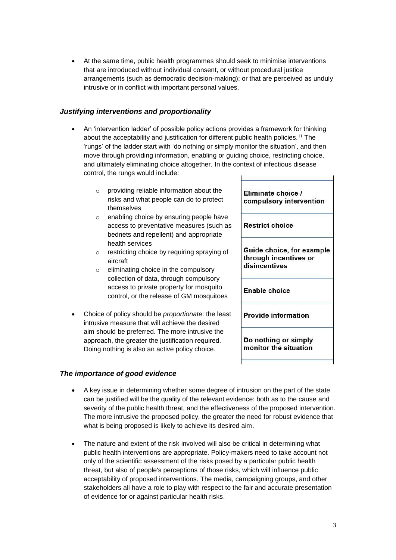At the same time, public health programmes should seek to minimise interventions that are introduced without individual consent, or without procedural justice arrangements (such as democratic decision-making); or that are perceived as unduly intrusive or in conflict with important personal values.

### *Justifying interventions and proportionality*

- An 'intervention ladder' of possible policy actions provides a framework for thinking about the acceptability and justification for different public health policies.<sup>11</sup> The 'rungs' of the ladder start with 'do nothing or simply monitor the situation', and then move through providing information, enabling or guiding choice, restricting choice, and ultimately eliminating choice altogether. In the context of infectious disease control, the rungs would include:
	- o providing reliable information about the risks and what people can do to protect themselves
	- o enabling choice by ensuring people have access to preventative measures (such as bednets and repellent) and appropriate health services
	- o restricting choice by requiring spraying of aircraft
	- o eliminating choice in the compulsory collection of data, through compulsory access to private property for mosquito control, or the release of GM mosquitoes
- Choice of policy should be *proportionate*: the least intrusive measure that will achieve the desired aim should be preferred. The more intrusive the approach, the greater the justification required. Doing nothing is also an active policy choice.

## *The importance of good evidence*

| Eliminate choice /         |
|----------------------------|
| compulsory intervention    |
| <b>Restrict choice</b>     |
| Guide choice, for example  |
| through incentives or      |
| disincentives              |
| Enable choice              |
| <b>Provide information</b> |
| Do nothing or simply       |
| monitor the situation      |

- A key issue in determining whether some degree of intrusion on the part of the state can be justified will be the quality of the relevant evidence: both as to the cause and severity of the public health threat, and the effectiveness of the proposed intervention. The more intrusive the proposed policy, the greater the need for robust evidence that what is being proposed is likely to achieve its desired aim.
- The nature and extent of the risk involved will also be critical in determining what public health interventions are appropriate. Policy-makers need to take account not only of the scientific assessment of the risks posed by a particular public health threat, but also of people's perceptions of those risks, which will influence public acceptability of proposed interventions. The media, campaigning groups, and other stakeholders all have a role to play with respect to the fair and accurate presentation of evidence for or against particular health risks.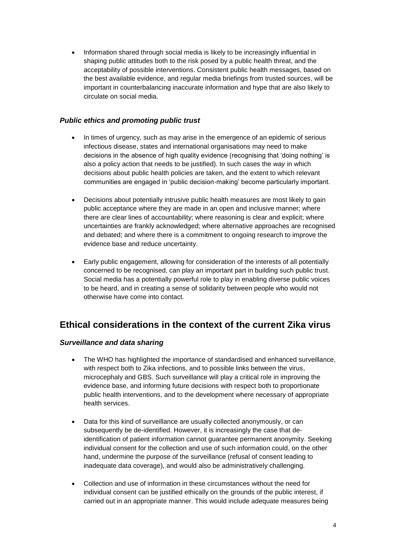Information shared through social media is likely to be increasingly influential in shaping public attitudes both to the risk posed by a public health threat, and the acceptability of possible interventions. Consistent public health messages, based on the best available evidence, and regular media briefings from trusted sources, will be important in counterbalancing inaccurate information and hype that are also likely to circulate on social media.

### *Public ethics and promoting public trust*

- In times of urgency, such as may arise in the emergence of an epidemic of serious infectious disease, states and international organisations may need to make decisions in the absence of high quality evidence (recognising that 'doing nothing' is also a policy action that needs to be justified). In such cases the *way* in which decisions about public health policies are taken, and the extent to which relevant communities are engaged in 'public decision-making' become particularly important.
- Decisions about potentially intrusive public health measures are most likely to gain public acceptance where they are made in an open and inclusive manner; where there are clear lines of accountability; where reasoning is clear and explicit; where uncertainties are frankly acknowledged; where alternative approaches are recognised and debated; and where there is a commitment to ongoing research to improve the evidence base and reduce uncertainty.
- Early public engagement, allowing for consideration of the interests of all potentially concerned to be recognised, can play an important part in building such public trust. Social media has a potentially powerful role to play in enabling diverse public voices to be heard, and in creating a sense of solidarity between people who would not otherwise have come into contact.

### **Ethical considerations in the context of the current Zika virus**

### *Surveillance and data sharing*

- The WHO has highlighted the importance of standardised and enhanced surveillance, with respect both to Zika infections, and to possible links between the virus, microcephaly and GBS. Such surveillance will play a critical role in improving the evidence base, and informing future decisions with respect both to proportionate public health interventions, and to the development where necessary of appropriate health services.
- Data for this kind of surveillance are usually collected anonymously, or can subsequently be de-identified. However, it is increasingly the case that deidentification of patient information cannot guarantee permanent anonymity. Seeking individual consent for the collection and use of such information could, on the other hand, undermine the purpose of the surveillance (refusal of consent leading to inadequate data coverage), and would also be administratively challenging.
- Collection and use of information in these circumstances without the need for individual consent can be justified ethically on the grounds of the public interest, if carried out in an appropriate manner. This would include adequate measures being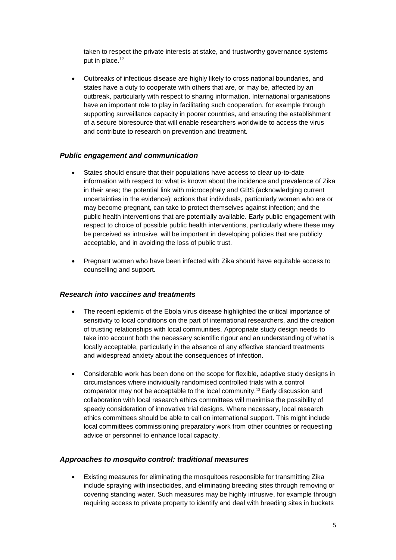taken to respect the private interests at stake, and trustworthy governance systems put in place.<sup>12</sup>

 Outbreaks of infectious disease are highly likely to cross national boundaries, and states have a duty to cooperate with others that are, or may be, affected by an outbreak, particularly with respect to sharing information. International organisations have an important role to play in facilitating such cooperation, for example through supporting surveillance capacity in poorer countries, and ensuring the establishment of a secure bioresource that will enable researchers worldwide to access the virus and contribute to research on prevention and treatment.

### *Public engagement and communication*

- States should ensure that their populations have access to clear up-to-date information with respect to: what is known about the incidence and prevalence of Zika in their area; the potential link with microcephaly and GBS (acknowledging current uncertainties in the evidence); actions that individuals, particularly women who are or may become pregnant, can take to protect themselves against infection; and the public health interventions that are potentially available. Early public engagement with respect to choice of possible public health interventions, particularly where these may be perceived as intrusive, will be important in developing policies that are publicly acceptable, and in avoiding the loss of public trust.
- Pregnant women who have been infected with Zika should have equitable access to counselling and support.

#### *Research into vaccines and treatments*

- The recent epidemic of the Ebola virus disease highlighted the critical importance of sensitivity to local conditions on the part of international researchers, and the creation of trusting relationships with local communities. Appropriate study design needs to take into account both the necessary scientific rigour and an understanding of what is locally acceptable, particularly in the absence of any effective standard treatments and widespread anxiety about the consequences of infection.
- Considerable work has been done on the scope for flexible, adaptive study designs in circumstances where individually randomised controlled trials with a control comparator may not be acceptable to the local community. <sup>13</sup> Early discussion and collaboration with local research ethics committees will maximise the possibility of speedy consideration of innovative trial designs. Where necessary, local research ethics committees should be able to call on international support. This might include local committees commissioning preparatory work from other countries or requesting advice or personnel to enhance local capacity.

#### *Approaches to mosquito control: traditional measures*

 Existing measures for eliminating the mosquitoes responsible for transmitting Zika include spraying with insecticides, and eliminating breeding sites through removing or covering standing water. Such measures may be highly intrusive, for example through requiring access to private property to identify and deal with breeding sites in buckets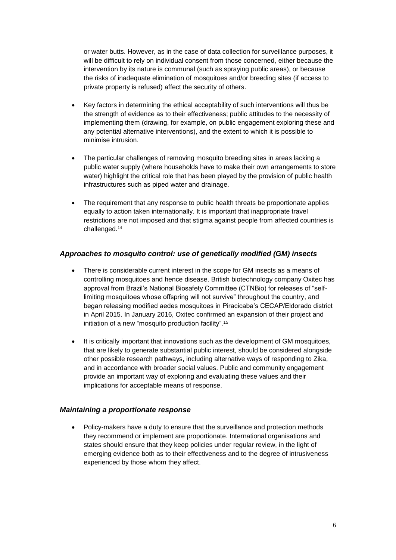or water butts. However, as in the case of data collection for surveillance purposes, it will be difficult to rely on individual consent from those concerned, either because the intervention by its nature is communal (such as spraying public areas), or because the risks of inadequate elimination of mosquitoes and/or breeding sites (if access to private property is refused) affect the security of others.

- Key factors in determining the ethical acceptability of such interventions will thus be the strength of evidence as to their effectiveness; public attitudes to the necessity of implementing them (drawing, for example, on public engagement exploring these and any potential alternative interventions), and the extent to which it is possible to minimise intrusion.
- The particular challenges of removing mosquito breeding sites in areas lacking a public water supply (where households have to make their own arrangements to store water) highlight the critical role that has been played by the provision of public health infrastructures such as piped water and drainage.
- The requirement that any response to public health threats be proportionate applies equally to action taken internationally. It is important that inappropriate travel restrictions are not imposed and that stigma against people from affected countries is challenged.<sup>14</sup>

### *Approaches to mosquito control: use of genetically modified (GM) insects*

- There is considerable current interest in the scope for GM insects as a means of controlling mosquitoes and hence disease. British biotechnology company Oxitec has approval from Brazil's National Biosafety Committee (CTNBio) for releases of "selflimiting mosquitoes whose offspring will not survive" throughout the country, and began releasing modified aedes mosquitoes in Piracicaba's CECAP/Eldorado district in April 2015. In January 2016, Oxitec confirmed an expansion of their project and initiation of a new "mosquito production facility".<sup>15</sup>
- It is critically important that innovations such as the development of GM mosquitoes, that are likely to generate substantial public interest, should be considered alongside other possible research pathways, including alternative ways of responding to Zika, and in accordance with broader social values. Public and community engagement provide an important way of exploring and evaluating these values and their implications for acceptable means of response.

### *Maintaining a proportionate response*

 Policy-makers have a duty to ensure that the surveillance and protection methods they recommend or implement are proportionate. International organisations and states should ensure that they keep policies under regular review, in the light of emerging evidence both as to their effectiveness and to the degree of intrusiveness experienced by those whom they affect.